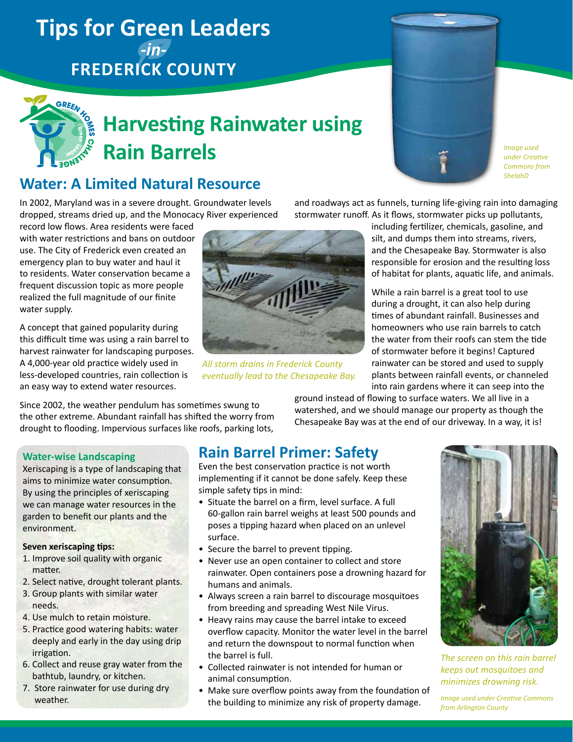# **Tips for Green Leaders**  *-in-***Frederick County**



# **Harvesting Rainwater using Rain Barrels**

## **Water: A Limited Natural Resource**

In 2002, Maryland was in a severe drought. Groundwater levels dropped, streams dried up, and the Monocacy River experienced

record low flows. Area residents were faced with water restrictions and bans on outdoor use. The City of Frederick even created an emergency plan to buy water and haul it to residents. Water conservation became a frequent discussion topic as more people realized the full magnitude of our finite water supply.

A concept that gained popularity during this difficult time was using a rain barrel to harvest rainwater for landscaping purposes. A 4,000-year old practice widely used in less-developed countries, rain collection is an easy way to extend water resources.

Since 2002, the weather pendulum has sometimes swung to the other extreme. Abundant rainfall has shifted the worry from drought to flooding. Impervious surfaces like roofs, parking lots,



*All storm drains in Frederick County eventually lead to the Chesapeake Bay.*

and roadways act as funnels, turning life-giving rain into damaging stormwater runoff. As it flows, stormwater picks up pollutants,

> including fertilizer, chemicals, gasoline, and silt, and dumps them into streams, rivers, and the Chesapeake Bay. Stormwater is also responsible for erosion and the resulting loss of habitat for plants, aquatic life, and animals.

*Image used under Creative Commons from [ShelahD](http://www.flickr.com/photos/queeniesplace/)*

While a rain barrel is a great tool to use during a drought, it can also help during times of abundant rainfall. Businesses and homeowners who use rain barrels to catch the water from their roofs can stem the tide of stormwater before it begins! Captured rainwater can be stored and used to supply plants between rainfall events, or channeled into rain gardens where it can seep into the

ground instead of flowing to surface waters. We all live in a watershed, and we should manage our property as though the Chesapeake Bay was at the end of our driveway. In a way, it is!

#### **Water-wise Landscaping**

Xeriscaping is a type of landscaping that aims to minimize water consumption. By using the principles of xeriscaping we can manage water resources in the garden to benefit our plants and the environment.

#### **Seven xeriscaping tips:**

- 1. Improve soil quality with organic matter.
- 2. Select native, drought tolerant plants.
- 3. Group plants with similar water needs.
- 4. Use mulch to retain moisture.
- 5. Practice good watering habits: water deeply and early in the day using drip irrigation.
- 6. Collect and reuse gray water from the bathtub, laundry, or kitchen.
- 7. Store rainwater for use during dry weather.

### **Rain Barrel Primer: Safety**

Even the best conservation practice is not worth implementing if it cannot be done safely. Keep these simple safety tips in mind:

- Situate the barrel on a firm, level surface. A full 60-gallon rain barrel weighs at least 500 pounds and poses a tipping hazard when placed on an unlevel surface.
- Secure the barrel to prevent tipping.
- Never use an open container to collect and store rainwater. Open containers pose a drowning hazard for humans and animals.
- Always screen a rain barrel to discourage mosquitoes from breeding and spreading West Nile Virus.
- Heavy rains may cause the barrel intake to exceed overflow capacity. Monitor the water level in the barrel and return the downspout to normal function when the barrel is full.
- Collected rainwater is not intended for human or animal consumption.
- Make sure overflow points away from the foundation of the building to minimize any risk of property damage.



*The screen on this rain barrel keeps out mosquitoes and minimizes drowning risk.*

*Image used under Creative Commons from [Arlington County](http://www.flickr.com/photos/arlingtonva/4898730008/)*